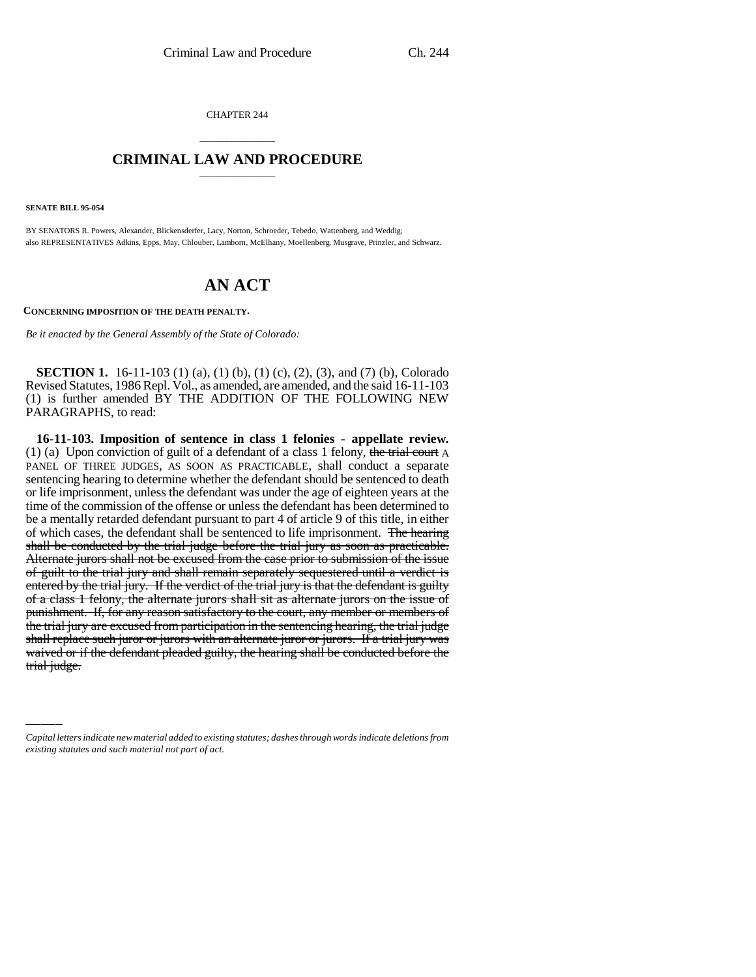CHAPTER 244

## \_\_\_\_\_\_\_\_\_\_\_\_\_\_\_ **CRIMINAL LAW AND PROCEDURE** \_\_\_\_\_\_\_\_\_\_\_\_\_\_\_

**SENATE BILL 95-054**

BY SENATORS R. Powers, Alexander, Blickensderfer, Lacy, Norton, Schroeder, Tebedo, Wattenberg, and Weddig; also REPRESENTATIVES Adkins, Epps, May, Chlouber, Lamborn, McElhany, Moellenberg, Musgrave, Prinzler, and Schwarz.

## **AN ACT**

**CONCERNING IMPOSITION OF THE DEATH PENALTY.**

*Be it enacted by the General Assembly of the State of Colorado:*

**SECTION 1.** 16-11-103 (1) (a), (1) (b), (1) (c), (2), (3), and (7) (b), Colorado Revised Statutes, 1986 Repl. Vol., as amended, are amended, and the said 16-11-103 (1) is further amended BY THE ADDITION OF THE FOLLOWING NEW PARAGRAPHS, to read:

the trial jury are excused from participation in the sentencing hearing, the trial judge<br>shall replace such juror or jurors with an alternate juror or jurors. If a trial jury was **16-11-103. Imposition of sentence in class 1 felonies - appellate review.** (1) (a) Upon conviction of guilt of a defendant of a class 1 felony, the trial court A PANEL OF THREE JUDGES, AS SOON AS PRACTICABLE, shall conduct a separate sentencing hearing to determine whether the defendant should be sentenced to death or life imprisonment, unless the defendant was under the age of eighteen years at the time of the commission of the offense or unless the defendant has been determined to be a mentally retarded defendant pursuant to part 4 of article 9 of this title, in either of which cases, the defendant shall be sentenced to life imprisonment. The hearing shall be conducted by the trial judge before the trial jury as soon as practicable. Alternate jurors shall not be excused from the case prior to submission of the issue of guilt to the trial jury and shall remain separately sequestered until a verdict is entered by the trial jury. If the verdict of the trial jury is that the defendant is guilty of a class 1 felony, the alternate jurors shall sit as alternate jurors on the issue of punishment. If, for any reason satisfactory to the court, any member or members of the trial jury are excused from participation in the sentencing hearing, the trial judge waived or if the defendant pleaded guilty, the hearing shall be conducted before the trial judge.

*Capital letters indicate new material added to existing statutes; dashes through words indicate deletions from existing statutes and such material not part of act.*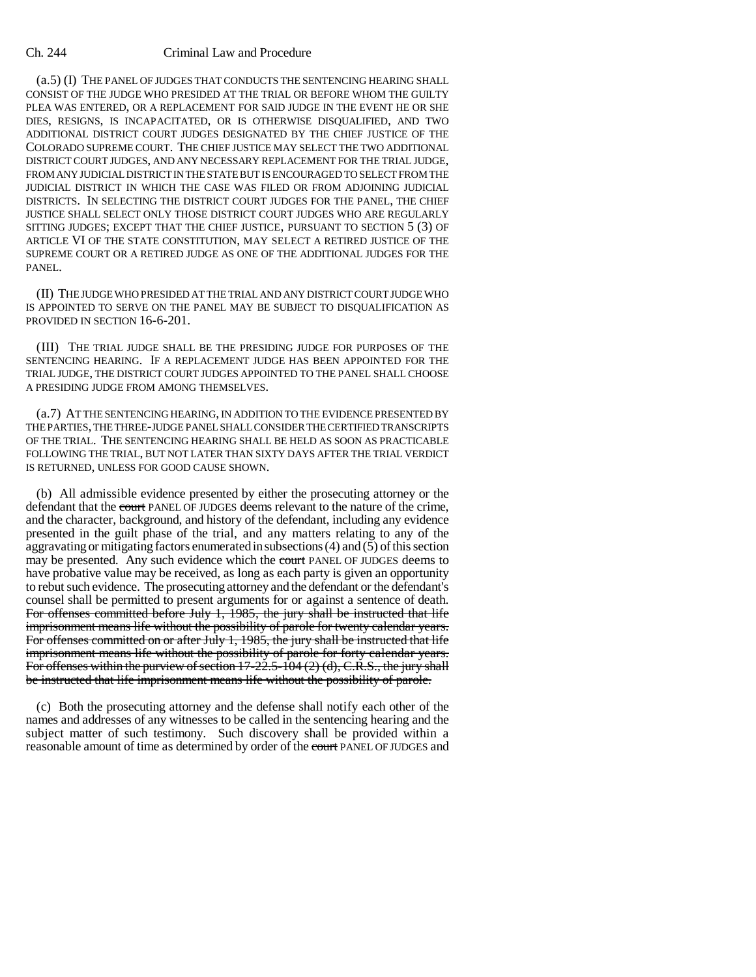## Ch. 244 Criminal Law and Procedure

(a.5) (I) THE PANEL OF JUDGES THAT CONDUCTS THE SENTENCING HEARING SHALL CONSIST OF THE JUDGE WHO PRESIDED AT THE TRIAL OR BEFORE WHOM THE GUILTY PLEA WAS ENTERED, OR A REPLACEMENT FOR SAID JUDGE IN THE EVENT HE OR SHE DIES, RESIGNS, IS INCAPACITATED, OR IS OTHERWISE DISQUALIFIED, AND TWO ADDITIONAL DISTRICT COURT JUDGES DESIGNATED BY THE CHIEF JUSTICE OF THE COLORADO SUPREME COURT. THE CHIEF JUSTICE MAY SELECT THE TWO ADDITIONAL DISTRICT COURT JUDGES, AND ANY NECESSARY REPLACEMENT FOR THE TRIAL JUDGE, FROM ANY JUDICIAL DISTRICT IN THE STATE BUT IS ENCOURAGED TO SELECT FROM THE JUDICIAL DISTRICT IN WHICH THE CASE WAS FILED OR FROM ADJOINING JUDICIAL DISTRICTS. IN SELECTING THE DISTRICT COURT JUDGES FOR THE PANEL, THE CHIEF JUSTICE SHALL SELECT ONLY THOSE DISTRICT COURT JUDGES WHO ARE REGULARLY SITTING JUDGES; EXCEPT THAT THE CHIEF JUSTICE, PURSUANT TO SECTION 5 (3) OF ARTICLE VI OF THE STATE CONSTITUTION, MAY SELECT A RETIRED JUSTICE OF THE SUPREME COURT OR A RETIRED JUDGE AS ONE OF THE ADDITIONAL JUDGES FOR THE PANEL.

(II) THE JUDGE WHO PRESIDED AT THE TRIAL AND ANY DISTRICT COURT JUDGE WHO IS APPOINTED TO SERVE ON THE PANEL MAY BE SUBJECT TO DISQUALIFICATION AS PROVIDED IN SECTION 16-6-201.

(III) THE TRIAL JUDGE SHALL BE THE PRESIDING JUDGE FOR PURPOSES OF THE SENTENCING HEARING. IF A REPLACEMENT JUDGE HAS BEEN APPOINTED FOR THE TRIAL JUDGE, THE DISTRICT COURT JUDGES APPOINTED TO THE PANEL SHALL CHOOSE A PRESIDING JUDGE FROM AMONG THEMSELVES.

(a.7) AT THE SENTENCING HEARING, IN ADDITION TO THE EVIDENCE PRESENTED BY THE PARTIES, THE THREE-JUDGE PANEL SHALL CONSIDER THE CERTIFIED TRANSCRIPTS OF THE TRIAL. THE SENTENCING HEARING SHALL BE HELD AS SOON AS PRACTICABLE FOLLOWING THE TRIAL, BUT NOT LATER THAN SIXTY DAYS AFTER THE TRIAL VERDICT IS RETURNED, UNLESS FOR GOOD CAUSE SHOWN.

(b) All admissible evidence presented by either the prosecuting attorney or the defendant that the court PANEL OF JUDGES deems relevant to the nature of the crime, and the character, background, and history of the defendant, including any evidence presented in the guilt phase of the trial, and any matters relating to any of the aggravating or mitigating factors enumerated in subsections (4) and (5) of this section may be presented. Any such evidence which the court PANEL OF JUDGES deems to have probative value may be received, as long as each party is given an opportunity to rebut such evidence. The prosecuting attorney and the defendant or the defendant's counsel shall be permitted to present arguments for or against a sentence of death. For offenses committed before July 1, 1985, the jury shall be instructed that life imprisonment means life without the possibility of parole for twenty calendar years. For offenses committed on or after July 1, 1985, the jury shall be instructed that life imprisonment means life without the possibility of parole for forty calendar years. For offenses within the purview of section 17-22.5-104 (2) (d), C.R.S., the jury shall be instructed that life imprisonment means life without the possibility of parole.

(c) Both the prosecuting attorney and the defense shall notify each other of the names and addresses of any witnesses to be called in the sentencing hearing and the subject matter of such testimony. Such discovery shall be provided within a reasonable amount of time as determined by order of the court PANEL OF JUDGES and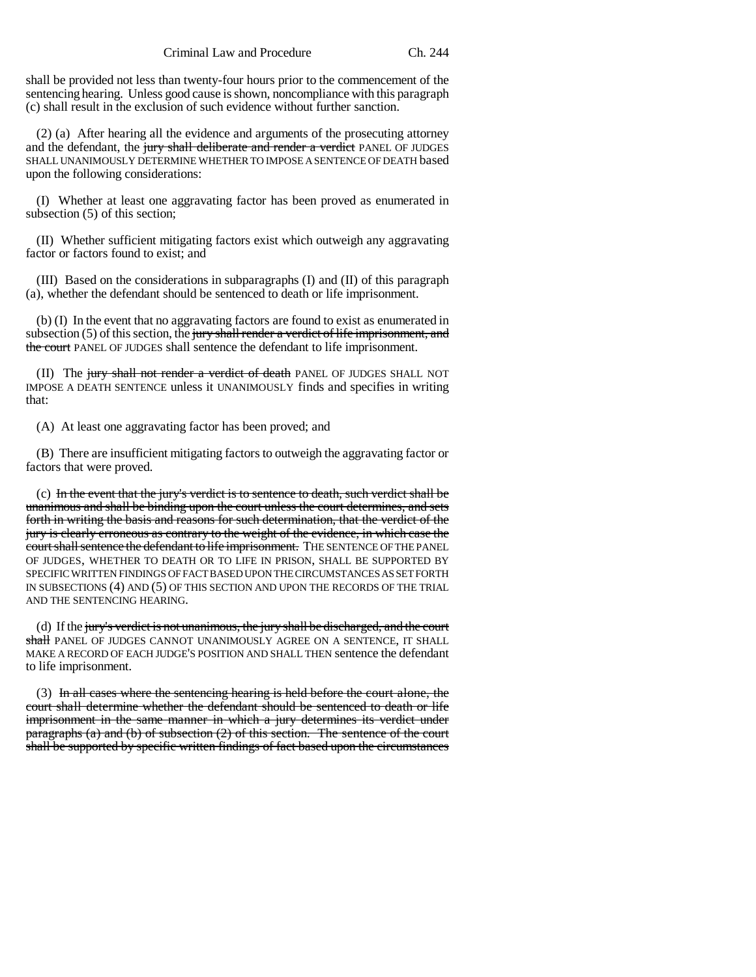shall be provided not less than twenty-four hours prior to the commencement of the sentencing hearing. Unless good cause is shown, noncompliance with this paragraph (c) shall result in the exclusion of such evidence without further sanction.

(2) (a) After hearing all the evidence and arguments of the prosecuting attorney and the defendant, the jury shall deliberate and render a verdict PANEL OF JUDGES SHALL UNANIMOUSLY DETERMINE WHETHER TO IMPOSE A SENTENCE OF DEATH based upon the following considerations:

(I) Whether at least one aggravating factor has been proved as enumerated in subsection (5) of this section;

(II) Whether sufficient mitigating factors exist which outweigh any aggravating factor or factors found to exist; and

(III) Based on the considerations in subparagraphs (I) and (II) of this paragraph (a), whether the defendant should be sentenced to death or life imprisonment.

(b) (I) In the event that no aggravating factors are found to exist as enumerated in subsection (5) of this section, the jury shall render a verdict of life imprisonment, and the court PANEL OF JUDGES shall sentence the defendant to life imprisonment.

(II) The jury shall not render a verdict of death PANEL OF JUDGES SHALL NOT IMPOSE A DEATH SENTENCE unless it UNANIMOUSLY finds and specifies in writing that:

(A) At least one aggravating factor has been proved; and

(B) There are insufficient mitigating factors to outweigh the aggravating factor or factors that were proved.

(c) In the event that the jury's verdict is to sentence to death, such verdict shall be unanimous and shall be binding upon the court unless the court determines, and sets forth in writing the basis and reasons for such determination, that the verdict of the jury is clearly erroneous as contrary to the weight of the evidence, in which case the court shall sentence the defendant to life imprisonment. THE SENTENCE OF THE PANEL OF JUDGES, WHETHER TO DEATH OR TO LIFE IN PRISON, SHALL BE SUPPORTED BY SPECIFIC WRITTEN FINDINGS OF FACT BASED UPON THE CIRCUMSTANCES AS SET FORTH IN SUBSECTIONS (4) AND (5) OF THIS SECTION AND UPON THE RECORDS OF THE TRIAL AND THE SENTENCING HEARING.

(d) If the jury's verdict is not unanimous, the jury shall be discharged, and the court shall PANEL OF JUDGES CANNOT UNANIMOUSLY AGREE ON A SENTENCE, IT SHALL MAKE A RECORD OF EACH JUDGE'S POSITION AND SHALL THEN sentence the defendant to life imprisonment.

(3) In all cases where the sentencing hearing is held before the court alone, the court shall determine whether the defendant should be sentenced to death or life imprisonment in the same manner in which a jury determines its verdict under paragraphs (a) and (b) of subsection (2) of this section. The sentence of the court shall be supported by specific written findings of fact based upon the circumstances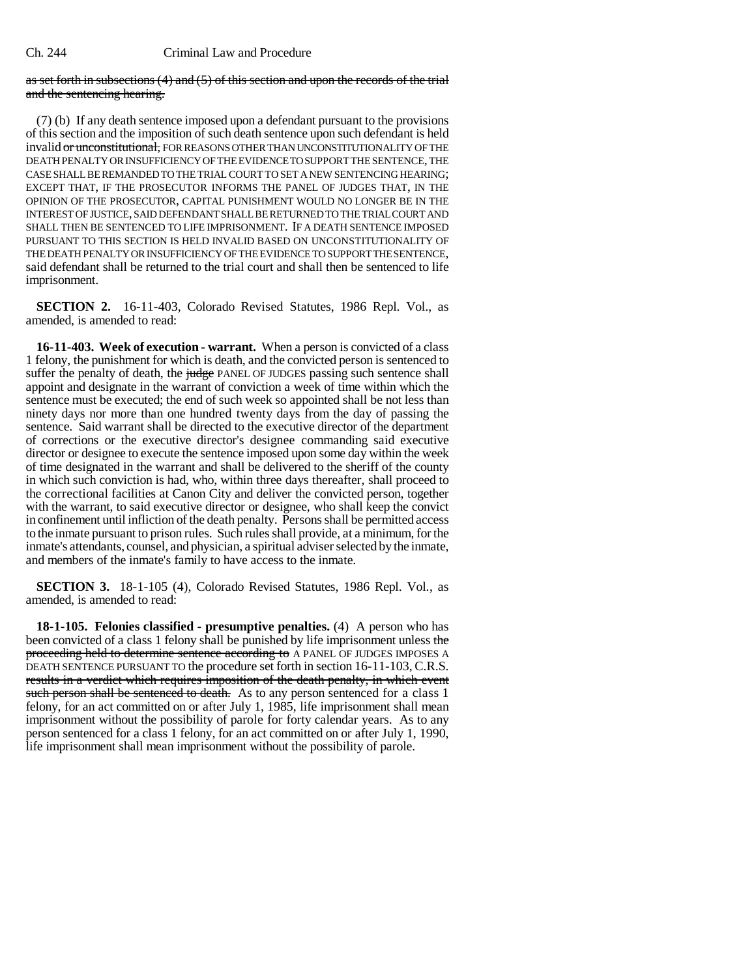as set forth in subsections  $(4)$  and  $(5)$  of this section and upon the records of the trial and the sentencing hearing.

(7) (b) If any death sentence imposed upon a defendant pursuant to the provisions of this section and the imposition of such death sentence upon such defendant is held invalid or unconstitutional, FOR REASONS OTHER THAN UNCONSTITUTIONALITY OF THE DEATH PENALTY OR INSUFFICIENCY OF THE EVIDENCE TO SUPPORT THE SENTENCE, THE CASE SHALL BE REMANDED TO THE TRIAL COURT TO SET A NEW SENTENCING HEARING; EXCEPT THAT, IF THE PROSECUTOR INFORMS THE PANEL OF JUDGES THAT, IN THE OPINION OF THE PROSECUTOR, CAPITAL PUNISHMENT WOULD NO LONGER BE IN THE INTEREST OF JUSTICE, SAID DEFENDANT SHALL BE RETURNED TO THE TRIAL COURT AND SHALL THEN BE SENTENCED TO LIFE IMPRISONMENT. IF A DEATH SENTENCE IMPOSED PURSUANT TO THIS SECTION IS HELD INVALID BASED ON UNCONSTITUTIONALITY OF THE DEATH PENALTY OR INSUFFICIENCY OF THE EVIDENCE TO SUPPORT THE SENTENCE, said defendant shall be returned to the trial court and shall then be sentenced to life imprisonment.

**SECTION 2.** 16-11-403, Colorado Revised Statutes, 1986 Repl. Vol., as amended, is amended to read:

**16-11-403. Week of execution - warrant.** When a person is convicted of a class 1 felony, the punishment for which is death, and the convicted person is sentenced to suffer the penalty of death, the judge PANEL OF JUDGES passing such sentence shall appoint and designate in the warrant of conviction a week of time within which the sentence must be executed; the end of such week so appointed shall be not less than ninety days nor more than one hundred twenty days from the day of passing the sentence. Said warrant shall be directed to the executive director of the department of corrections or the executive director's designee commanding said executive director or designee to execute the sentence imposed upon some day within the week of time designated in the warrant and shall be delivered to the sheriff of the county in which such conviction is had, who, within three days thereafter, shall proceed to the correctional facilities at Canon City and deliver the convicted person, together with the warrant, to said executive director or designee, who shall keep the convict in confinement until infliction of the death penalty. Persons shall be permitted access to the inmate pursuant to prison rules. Such rules shall provide, at a minimum, for the inmate's attendants, counsel, and physician, a spiritual adviser selected by the inmate, and members of the inmate's family to have access to the inmate.

**SECTION 3.** 18-1-105 (4), Colorado Revised Statutes, 1986 Repl. Vol., as amended, is amended to read:

**18-1-105. Felonies classified - presumptive penalties.** (4) A person who has been convicted of a class 1 felony shall be punished by life imprisonment unless the proceeding held to determine sentence according to A PANEL OF JUDGES IMPOSES A DEATH SENTENCE PURSUANT TO the procedure set forth in section 16-11-103, C.R.S. results in a verdict which requires imposition of the death penalty, in which event such person shall be sentenced to death. As to any person sentenced for a class 1 felony, for an act committed on or after July 1, 1985, life imprisonment shall mean imprisonment without the possibility of parole for forty calendar years. As to any person sentenced for a class 1 felony, for an act committed on or after July 1, 1990, life imprisonment shall mean imprisonment without the possibility of parole.